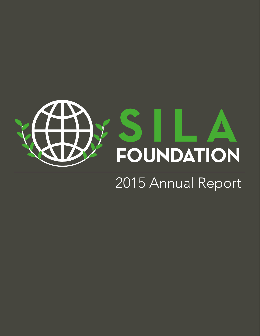

## 2015 Annual Report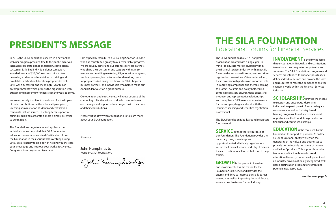In 2015, the SILA Foundation ushered in a new online webinar program provided free to the public, achieved increased corporate donation support, completed a successful Early Bird Individual donor campaign, awarded a total of \$25,000 in scholarships to ten deserving students and maintained a thriving and profitable Certification Education program. Overall, 2015 was a successful and meaningful year full of accomplishments which propels the organization with outstanding momentum for next year and years to come.

We are especially thankful to our donors for the impact of their contributions on the scholarship recipients, licensing administration students and certification recipients that we served. The long-term support of our individual and corporate donors is simply essential to our mission.

The Foundation congratulates and applauds the individuals who completed their SILA Foundation education courses and received Certifications from the Foundation in their various fields of study during 2015. We are happy to be a part of helping you increase your knowledge and improve your work effectiveness. Congratulations on your achievement.

I am especially thankful to a Sustaining Sponsor, SILA Inc. who has contributed greatly to our remarkable progress. We are equally grateful to our business services partners who share their personnel and support with us in so many ways providing marketing, PR, education programs, webinar speakers, instructors and underwriting costs for programs. And finally, we thank the SILA Chapters, business partners, and individuals who helped make our Annual Silent Auction a grand success.

> **SERVICE** defines the key purpose of our Foundation. The Foundation provides the necessary tools, knowledge and opportunities to individuals, organizations within the financial services industry. It creates the call to action for all to self-help and to help others.

**GROWTH** is the product of service and involvement. It is the reason for the Foundation's existence and provides the energy and drive to improve our skills, career potential as well as improving the workforce to assure a positive future for our industry.

Our operation and effectiveness will grow because of the continuing collective efforts of all who have embraced our message and supported our progress with their time and their contributions.

**INVOLVEMENT** is the driving force that encourages individuals and organizations to embrace their unique future potential and successes. The SILA Foundation's programs and services are intended to enhance possibilities, define individual actions and provide the tools and resources to meet the demands of an ever changing world within the Financial Services industry.

Please visit us at www.silafoundation.org to learn more about your SILA Foundation.

**SCHOLARSHIPS** provide the means to support and encourage deserving individuals to participate in formal collegiate course work as well as industry based training programs. To enhance educational opportunities, the Foundation provides both financial and course scholarships.

### **PRESIDENT'S MESSAGE**

Sincerely,

John Humphries Jr. President, SILA Foundation.

John Humphros Jr

**EDUCATION** is the tool used by the Foundation to support its purpose. As an IRS 501c3 educational entity, we rely on the generosity of individuals and businesses to provide tax deductible donations of money and 'in kind' products. This support is required to assure quality, timely, needs-based educational forums, course development and an industry driven, nationally recognized, task based certification program for current and potential new associates.

The SILA Foundation is a 501c3 nonprofit organization created with a single goal in mind - to educate more individuals within the financial services industry, with a specific focus on the insurance licensing and securities registration professions. Often undervalued, these professionals perform an important role in improving compliance and thereby helping to protect investors and policy holders in a complex regulatory environment. Successful producer and representative relationships and compliance fulfillment and maintenance for the company begin and end with the insurance licensing and securities registration professional.

The SILA Foundation is built around seven core fundamentals:

**-continue on page 3-**

### **THE SILA FOUNDATION** Educational Forums for Financial Services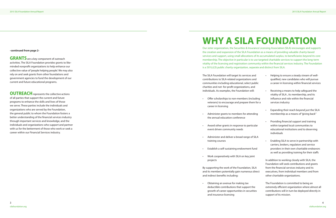#### **-continued from page 2-**

**GRANTS** are a key component of outreach activities. The SILA Foundation provides grants to likeminded nonprofit organizations to help enhance our collective value of 'people helping people'. We may also rely on and seek grants from other foundations and government agencies to fund the development of our current and future educational programs.

**OUTREACH** represents the collective actions of all parties that support the current and future programs to enhance the skills and lives of those we serve. These parties include the individuals and organizations who are served by the Foundation, the general public to whom the Foundation fosters a better understanding of the financial services industry through important services and knowledge, and the individuals and organizations who support and partner with us for the betterment of those who work or seek a career within our Financial Services industry.

- Offer scholarships to non-member veterans) to encourage and prepar career in licensing
- Administer grants to members for the annual education conference
- Award other grants in response to event driven community needs
- Administer and deliver a broad ran training courses
- Establish a self-sustaining endown
- Work cooperatively with SILA on ke projects

By supporting the work of the Foundat and its members potentially gain nume and indirect benefits including:

• Obtaining an avenue for making tax deductible contributions that supp growth of career opportunities in s and insurance licensing

Our sister organization, the Securities & Insurance Licensing Association (SILA) encourages and supports the creation and expansion of the SILA Foundation as a means of providing valuable charity-based services and support, using small allocations of its accumulated surplus, to beneficiaries beyond its core membership. The objective in particular is to use targeted charitable services to support the long-term vitality of the licensing and registration community within the financial services industry. The Foundation is a 501(c)(3) public charity organization, separate and distinct from SILA.

The SILA Foundation will target its services contributions to SILA-related organizat communities including educational, sel charities and not- for-profit organizations, individuals. As examples, the Foundation

# **WHY A SILA FOUNDATION**

| ices and<br>ions and<br>lect public<br>ns, and | Helping to ensure a steady stream of well-<br>qualified, new candidates who will pursue<br>a career in licensing within financial services                                                                                        |
|------------------------------------------------|-----------------------------------------------------------------------------------------------------------------------------------------------------------------------------------------------------------------------------------|
| on will:                                       | Receiving a means to help safeguard the<br>vitality of SILA, its membership, and its<br>influence and role within the financial                                                                                                   |
| s (including<br>e them for a                   | services industry                                                                                                                                                                                                                 |
| attending                                      | Expanding their reach beyond just the SILA<br>membership as a means of "giving back"                                                                                                                                              |
| particular                                     | Providing financial support and training<br>$\bullet$<br>within targeted local communities to<br>educational institutions and to deserving<br>individuals                                                                         |
| ge of SILA                                     | Enabling SILA to serve in partnership with<br>٠                                                                                                                                                                                   |
| nent fund                                      | carriers, brokers, regulators and service<br>providers in their own charitable endeavors<br>as well as providing training for their staffs                                                                                        |
| ey joint                                       |                                                                                                                                                                                                                                   |
| ion, SILA<br>erous direct                      | In addition to working closely with SILA, the<br>Foundation will seek contributions and grants<br>from the financial services industry and its<br>executives, from individual members and from<br>other charitable organizations. |
| àХ<br>port the<br>securities                   | The Foundation is committed to being an<br>extremely efficient organization where almost all<br>contributions will in turn be deployed directly in<br>support of its mission.                                                     |
|                                                |                                                                                                                                                                                                                                   |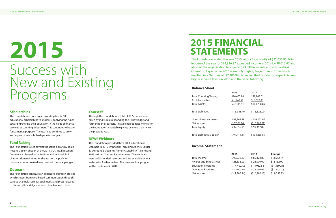\$98,968.01  $$5,320.88$ \$104,288.89

 $$3,326.00$ 

\$ 116,262.96  $(516,900.07)$  $$99,362.89$ 

\$ 104,288.89

### **Scholarships**

The Foundation is once again awarding ten \$2,500 educational scholarships to students applying the funds toward furthering their education in the fields of financial services, accounting or business. This continues to be our fundamental purpose. The goal is to continue to grow and expand these scholarships in future years.

### **Fund Raising**

The Foundation raised several thousand dollars by again hosting a silent auction at the 2015 SILA, Inc. Education Conference. Several organizations and regional SILA chapters donated items for the auction. A push for corporate donors netted new ones with annual pledges.

### **Outreach**

The Foundation continues an expansive outreach project which crosses from web-based communication through various channels such as social media and press releases to phone calls and flyers at local churches and school.

#### **Courses!!**

Through the Foundation, a total of 807 courses were taken by individuals expanding their knowledge and furthering their careers. This also helped raise money for the Foundation's charitable giving, by more than twice the previous year.

#### **NEW!! Webinars**

The Foundation provided three FREE educational webinars in 2015 with topics including Agency Carrier Background Screening, Annuity Suitability Training and 1033 Written Consent Requirements. The webinars were well attended, recorded and are available on our website for further review. This new webinar program will be continued in 2016.

# Success with New and Existing Programs **2015**

The Foundation ended the year 2015 with a Total Equity of \$92,055.95. Total Income of the year of \$93,936.27 exceeded income in 2014 by \$8,612.47 and allowed the organization to expend \$23,838 in awards and scholarships. Operating Expenses in 2015 were only slightly larger than in 2014 which resulted in a Net Loss of (\$7,306.94), however, the Foundation expects to see higher income levels in 2016 and the years following.

#### **Balance Sheet**

|                                       | 2015        | 2014     |
|---------------------------------------|-------------|----------|
| <b>Total Checking/Savings</b>         | \$96,665.90 | \$98,9   |
| <b>Acct Receivable</b>                | \$748.51    | \$5,3    |
| <b>Total Assets</b>                   | \$97,414.41 | \$104,   |
| <b>Total Liabilities</b>              | \$5,358.46  | $5 - 3,$ |
| <b>Unrestricted Net Assets</b>        | \$99,362.89 | \$116,   |
| Net Income                            | (57,306.94) | (516,    |
| <b>Total Equity</b>                   | \$92,055.95 | \$99.3   |
| <b>Total Liabilities &amp; Equity</b> | \$97,414.41 | \$104,   |

#### **Income Statement**

|                                | 2015         | 2014          | Change     |
|--------------------------------|--------------|---------------|------------|
| Total Income                   | \$93,936.27  | \$85,323.80   | \$8,612.47 |
| <b>Awards and Scholarships</b> | \$23,838.00  | \$26,000.00   | \$2,162.00 |
| <b>Education Programs</b>      | \$4,402.12   | \$4,062.88    | (5 339.24) |
| <b>Operating Expenses</b>      | \$73,003.09  | \$72,160.99   | (5842.10)  |
| Net Income                     | (5 7,306.94) | (\$16,900.10) | \$9,593.13 |

|                           | 20 I J       | 20 I T        | <b>CHANG</b> |
|---------------------------|--------------|---------------|--------------|
| Total Income              | \$93,936.27  | \$85,323.80   | \$8,612.47   |
| Awards and Scholarships   | \$23,838.00  | \$26,000.00   | \$2,162.00   |
| <b>Education Programs</b> | \$4,402.12   | \$4,062.88    | (5 339.24)   |
| <b>Operating Expenses</b> | \$73,003.09  | \$72,160.99   | 842.10)      |
| Net Income                | (5 7,306.94) | (\$16,900.10) | \$9,593.13   |
|                           |              |               |              |

### **2015 FINANCIAL STATEMENTS**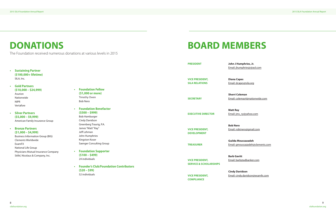2015 SILA Foundation Annual Report



ies, Jr. esjr@aol.com

ila.org

@nationwide.com

ahoo.com

**<u>agmail.com</u>** 

zadeh adeh@clements.com

banker.com

idson@examfx.com

|                                                                                                                                                                 |                                                                                                                                                                   | <b>PRESIDENT</b>                                                                                           | John J Humphri<br>Email: jhumphrie                                                  |
|-----------------------------------------------------------------------------------------------------------------------------------------------------------------|-------------------------------------------------------------------------------------------------------------------------------------------------------------------|------------------------------------------------------------------------------------------------------------|-------------------------------------------------------------------------------------|
| <b>Sustaining Partner</b><br>$\bullet$<br>(\$100,000+ lifetime)                                                                                                 |                                                                                                                                                                   |                                                                                                            |                                                                                     |
| SILA, Inc.                                                                                                                                                      |                                                                                                                                                                   | <b>VICE PRESIDENT,</b>                                                                                     | <b>Diana Capes</b>                                                                  |
|                                                                                                                                                                 |                                                                                                                                                                   | <b>SILA RELATIONS</b>                                                                                      | Email: dcapes@si                                                                    |
| <b>Gold Partners</b><br>$\bullet$<br>$($10,000 - $24,999)$<br>Asurion<br>Nationwide<br><b>NIPR</b><br>Vertafore<br><b>Silver Partners</b><br>$\bullet$          | <b>Foundation Fellow</b><br>$\bullet$<br>(\$1,000 or more)<br>Timothy Owen<br><b>Bob Nero</b><br><b>Foundation Benefactor</b><br>$\bullet$<br>$(5500 - 5999)$     | <b>SECRETARY</b><br><b>EXECUTIVE DIRECTOR</b>                                                              | <b>Sherri Coleman</b><br>Email: colemas4@<br><b>Matt Ray</b><br>Email: jms_ry@ya    |
| $(55,000 - 59,999)$<br>American Family Insurance Group<br><b>Bronze Partners</b><br>$\bullet$<br>$(51,000 - 54,999)$<br><b>Business Information Group (BIG)</b> | <b>Bob Hamburger</b><br>Cindy Davidson<br>Greenberg Traurig, P.A.<br>James "Matt" Ray"<br>Jeff Lehman<br>John Humphries                                           | <b>VICE PRESIDENT,</b><br><b>DEVELOPMENT</b>                                                               | <b>Bob Nero</b><br>Email: robtnero@                                                 |
| <b>Clements Worldwide</b><br>ExamFX<br>National Life Group                                                                                                      | Kingston Koser<br>Saenger Consulting Group                                                                                                                        | <b>TREASURER</b>                                                                                           | <b>Guilda Moussaz</b><br>Email: gmoussaza                                           |
| Physicians Mutual Insurance Company<br>Stifel, Nicolaus & Company, Inc.                                                                                         | <b>Foundation Supporter</b><br>$(5100 - 5499)$<br>24 individuals<br><b>Founder's Club/Foundation Contributors</b><br>$\bullet$<br>$(520 - 599)$<br>52 individuals | <b>VICE PRESIDENT,</b><br><b>SERVICE &amp; SCHOLARSHIPS</b><br><b>VICE PRESIDENT,</b><br><b>COMPLIANCE</b> | <b>Barb Gavitt</b><br>Email: barb@adb<br><b>Cindy Davidson</b><br>Email: cindy.davi |

### **DONATIONS BOARD MEMBERS**

The Foundation received numerous donations at various levels in 2015